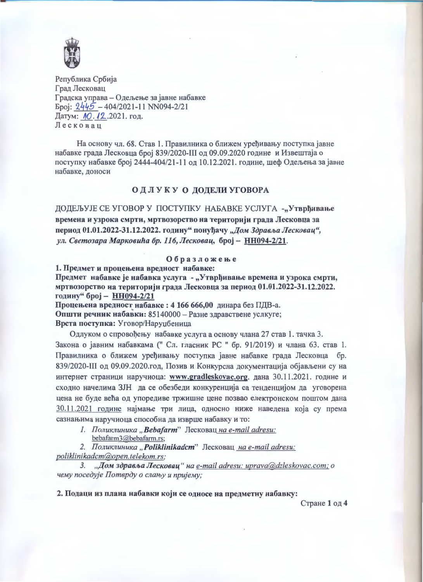

Република Србија Град Лесковац Градска управа - Одељење за јавне набавке  $5\pi$ i:  $2445 - 404/2021 - 11$  NN094-2/21 Датум: 10.12.2021. год. Лесковац

На основу чл. 68. Став 1. Правилника о ближем уређивању поступка јавне набавке града Лесковца број 839/2020-III од 09.09.2020 године и Извештаја о поступку набавке број 2444-404/21-11 од 10.12.2021. године, шеф Одељења за јавне набавке, доноси

## ОДЛУКУ О ДОДЕЛИ УГОВОРА

ДОДЕЉУЈЕ СЕ УГОВОР У ПОСТУПКУ НАБАВКЕ УСЛУГА -"Утврђивање времена и узрока смрти, мртвозорство на територији града Лесковца за период 01.01.2022-31.12.2022. годину" понуђачу "Дом Здравља Лесковац", ул. Светозара Марковића бр. 116, Лесковац, број - НН094-2/21.

## Образложење

1. Предмет и процењена вредност набавке:

Предмет набавке је набавка услуга - "Утврђивање времена и узрока смрти, мртвозорство на територији града Лесковца за период 01.01.2022-31.12.2022. годину" број - НН094-2/21

Процењена вредност набавке: 4 166 666,00 динара без ПДВ-а. Општи речник набавки: 85140000 - Разне здравствене услкуге; Врста поступка: Уговор/Наруџбеница

Одлуком о спровођењу набавке услуга а основу члана 27 став 1. тачка 3. Закона о јавним набавкама ("Сл. гласник РС "бр. 91/2019) и члана 63. став 1. Правилника о ближем уређивању поступка јавне набавке града Лесковца бр. 839/2020-III од 09.09.2020.год, Позив и Конкурсна документација објављени су на интернет страници наручиоца: www.gradleskovac.org. дана 30.11.2021. године и сходно начелима ЗЈН да се обезбеди конкуренција са тенденцијом да уговорена цена не буде већа од упоредиве тржишне цене позвао електронском поштом дана 30.11.2021 године најмање три лица, односно ниже наведена која су према сазнањима наручиоца способна да изврше набавку и то:

1. Поликлиника "Bebafarm" Лесковац на e-mail adresu:

bebafarm3@bebafarm.rs;

2. Поликлиника "Poliklinikadcm" Лесковац на e-mail adresu: poliklinikadcm@open.telekom.rs;

3. "Дом здравља Лесковац" на e-mail adresu: uprava@dzleskovac.com; о чему поседује Потврду о слању и пријему;

2. Подаци из плана набавки који се односе на предметну набавку:

Стране 1 од 4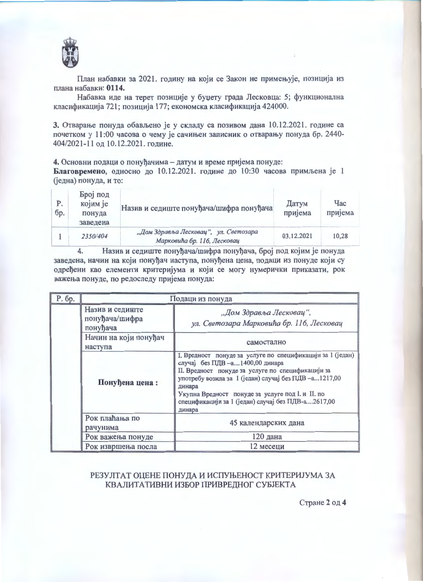

План набавки за 2021. годину на који се Закон не примењује, позиција из плана набавки: 0114.

Набавка иде на терет позиције у буџету града Лесковца: 5; функционална класификација 721; позиција 177; економска класификација 424000.

3. Отварање понуда обављено је у складу са позивом дана 10.12.2021. године са почетком у 11:00 часова о чему је сачињен записник о отварању понуда бр. 2440-404/2021-11 од 10.12.2021. године.

4. Основни подаци о понуђачима - датум и време пријема понуде:

Благовремено, односно до 10.12.2021. године до 10:30 часова примљена је 1 (једна) понуда, и то:

| P.<br>бр. | Број под<br>којим је<br>понуда<br>заведена | Назив и седиште понуђача/шифра понуђача                              | Датум<br>пријема | $q_{\rm ac}$<br>пријема |
|-----------|--------------------------------------------|----------------------------------------------------------------------|------------------|-------------------------|
|           | 2350/404                                   | "Дом Здравља Лесковац", ул. Светозара<br>Марковића бр. 116, Лесковац | 03.12.2021       | 10.28                   |

Назив и седиште понуђача/шифра понуђача, број под којим је понуда 4. заведена, начин на који понуђач наступа, понуђена цена, подаци из понуде који су одређени као елементи критеријума и који се могу нумерички приказати, рок важења понуде, по редоследу пријема понуда:

| Р. бр. | Подаци из понуда                              |                                                                                                                                                                                                                                                                                                                                            |  |
|--------|-----------------------------------------------|--------------------------------------------------------------------------------------------------------------------------------------------------------------------------------------------------------------------------------------------------------------------------------------------------------------------------------------------|--|
|        | Назив и седиште<br>понуђача/шифра<br>понуђача | "Дом Здравља Лесковац",<br>ул. Светозара Марковића бр. 116, Лесковац                                                                                                                                                                                                                                                                       |  |
|        | Начин на који понуђач<br>наступа              | самостално                                                                                                                                                                                                                                                                                                                                 |  |
|        | Понуђена цена:                                | I. Вредност понуде за услуге по спецификацији за 1 (један)<br>случај без ПДВ - а 1400,00 динара<br>II. Вредност понуде за услуге по спецификацији за<br>употребу возила за 1 (један) случај без ПДВ-а1217,00<br>динара<br>Укупна Вредност понуде за услуге под I. и II. по<br>спецификацији за 1 (један) случај без ПДВ-а2617,00<br>динара |  |
|        | Рок плаћања по<br>рачунима                    | 45 календарских дана                                                                                                                                                                                                                                                                                                                       |  |
|        | Рок важења понуде                             | 120 дана                                                                                                                                                                                                                                                                                                                                   |  |
|        | Рок извршења посла                            | 12 месеци                                                                                                                                                                                                                                                                                                                                  |  |

## РЕЗУЛТАТ ОЦЕНЕ ПОНУДА И ИСПУЊЕНОСТ КРИТЕРИЈУМА ЗА КВАЛИТАТИВНИ ИЗБОР ПРИВРЕДНОГ СУБЈЕКТА

Стране 2 од 4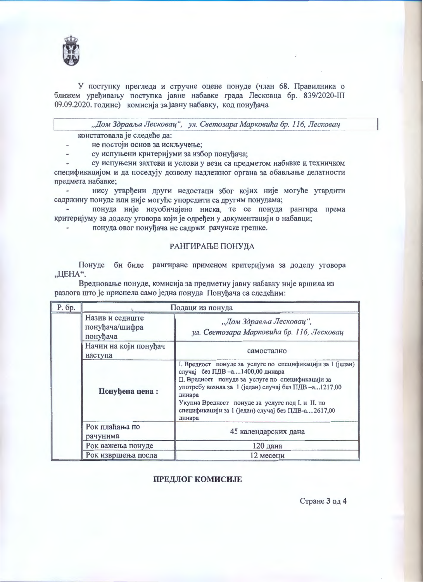

У поступку прегледа и стручне оцене понуде (члан 68. Правилника о ближем уређивању поступка јавне набавке града Лесковца бр. 839/2020-III 09.09.2020. године) комисија за јавну набавку, код понуђача

"Дом Здравља Лесковац", ул. Светозара Марковића бр. 116, Лесковац

констатовала је следеће да:

не постоји основ за искључење;

су испуњени критеријуми за избор понуђача;

су испуњени захтеви и услови у вези са предметом набавке и техничком спецификацијом и да поседују дозволу надлежног органа за обављање делатности предмета набавке;

нису утврђени други недостаци због којих није могуће утврдити садржину понуде или није могуће упоредити са другим понудама;

понуда није неуобичајено ниска, те се понуда рангира према критеријуму за доделу уговора који је одређен у документацији о набавци;

понуда овог понуђача не садржи рачунске грешке.

## РАНГИРАЊЕ ПОНУДА

Понуде би биле рангиране применом критеријума за доделу уговора "ЦЕНА".

Вредновање понуде, комисија за предметну јавну набавку није вршила из разлога што је приспела само једна понуда Понуђача са следећим:

| Р. бр. | Подаци из понуда                              |                                                                                                                                                                                                                                                                                                                                         |  |
|--------|-----------------------------------------------|-----------------------------------------------------------------------------------------------------------------------------------------------------------------------------------------------------------------------------------------------------------------------------------------------------------------------------------------|--|
|        | Назив и седиште<br>понуђача/шифра<br>понуђача | "Дом Здравља Лесковац",<br>ул. Светозара Марковића бр. 116, Лесковац                                                                                                                                                                                                                                                                    |  |
|        | Начин на који понуђач<br>наступа              | самостално                                                                                                                                                                                                                                                                                                                              |  |
|        | Понуђена цена:                                | I. Вредност понуде за услуге по спецификацији за 1 (један)<br>случај без ПДВ-а1400,00 динара<br>II. Вредност понуде за услуге по спецификацији за<br>употребу возила за 1 (један) случај без ПДВ-а1217,00<br>динара<br>Укупна Вредност понуде за услуге под I. и II. по<br>спецификацији за 1 (један) случај без ПДВ-а2617,00<br>динара |  |
|        | Рок плаћања по<br>рачунима                    | 45 календарских дана                                                                                                                                                                                                                                                                                                                    |  |
|        | Рок важења понуде                             | 120 дана                                                                                                                                                                                                                                                                                                                                |  |
|        | Рок извршења посла                            | 12 месеци                                                                                                                                                                                                                                                                                                                               |  |

ПРЕДЛОГ КОМИСИЈЕ

Стране 3 од 4